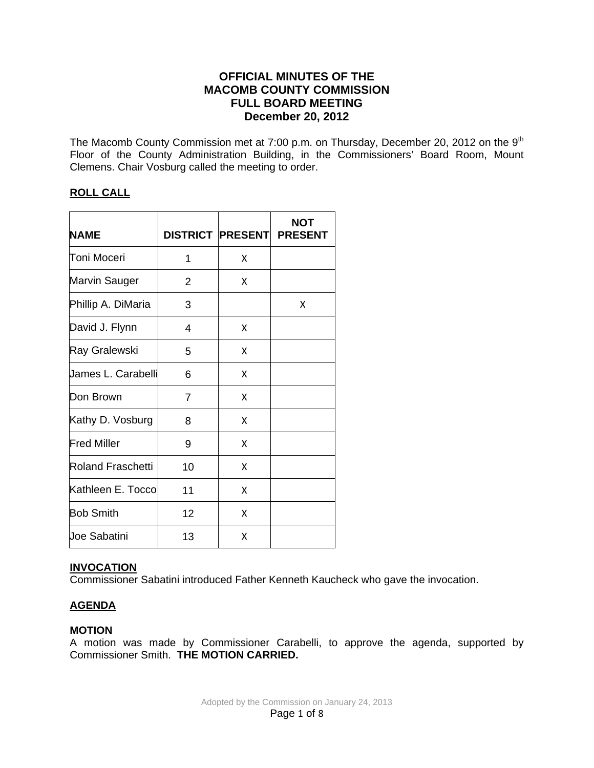# **OFFICIAL MINUTES OF THE MACOMB COUNTY COMMISSION FULL BOARD MEETING December 20, 2012**

The Macomb County Commission met at 7:00 p.m. on Thursday, December 20, 2012 on the 9<sup>th</sup> Floor of the County Administration Building, in the Commissioners' Board Room, Mount Clemens. Chair Vosburg called the meeting to order.

# **ROLL CALL**

| <b>NAME</b>          | <b>DISTRICT PRESENT</b> |   | <b>NOT</b><br><b>PRESENT</b> |
|----------------------|-------------------------|---|------------------------------|
| Toni Moceri          | 1                       | x |                              |
| <b>Marvin Sauger</b> | 2                       | X |                              |
| Phillip A. DiMaria   | 3                       |   | x                            |
| David J. Flynn       | 4                       | X |                              |
| Ray Gralewski        | 5                       | X |                              |
| James L. Carabelli   | 6                       | X |                              |
| Don Brown            | 7                       | X |                              |
| Kathy D. Vosburg     | 8                       | X |                              |
| <b>Fred Miller</b>   | 9                       | X |                              |
| Roland Fraschetti    | 10                      | X |                              |
| Kathleen E. Toccol   | 11                      | X |                              |
| <b>Bob Smith</b>     | 12                      | X |                              |
| Joe Sabatini         | 13                      | x |                              |

## **INVOCATION**

Commissioner Sabatini introduced Father Kenneth Kaucheck who gave the invocation.

# **AGENDA**

## **MOTION**

A motion was made by Commissioner Carabelli, to approve the agenda, supported by Commissioner Smith. **THE MOTION CARRIED.**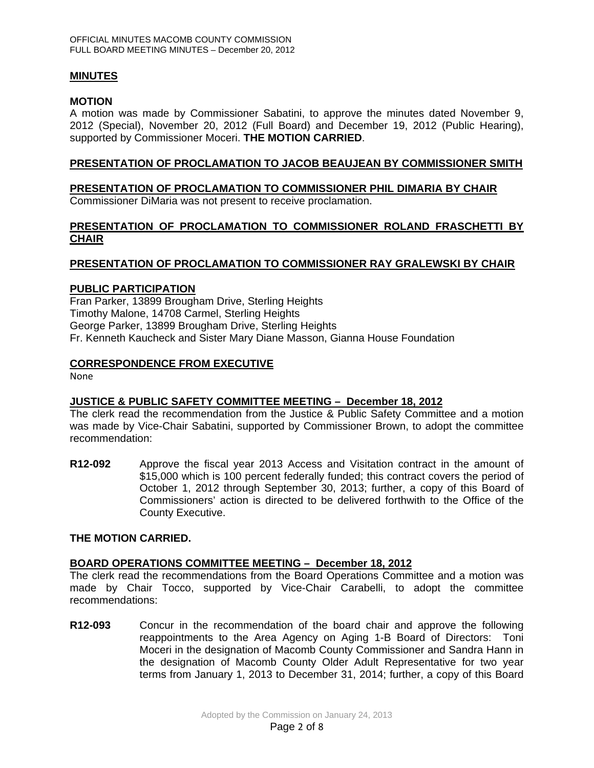## **MINUTES**

### **MOTION**

A motion was made by Commissioner Sabatini, to approve the minutes dated November 9, 2012 (Special), November 20, 2012 (Full Board) and December 19, 2012 (Public Hearing), supported by Commissioner Moceri. **THE MOTION CARRIED**.

## **PRESENTATION OF PROCLAMATION TO JACOB BEAUJEAN BY COMMISSIONER SMITH**

# **PRESENTATION OF PROCLAMATION TO COMMISSIONER PHIL DIMARIA BY CHAIR**

Commissioner DiMaria was not present to receive proclamation.

## **PRESENTATION OF PROCLAMATION TO COMMISSIONER ROLAND FRASCHETTI BY CHAIR**

## **PRESENTATION OF PROCLAMATION TO COMMISSIONER RAY GRALEWSKI BY CHAIR**

#### **PUBLIC PARTICIPATION**

Fran Parker, 13899 Brougham Drive, Sterling Heights Timothy Malone, 14708 Carmel, Sterling Heights George Parker, 13899 Brougham Drive, Sterling Heights Fr. Kenneth Kaucheck and Sister Mary Diane Masson, Gianna House Foundation

## **CORRESPONDENCE FROM EXECUTIVE**

None

# **JUSTICE & PUBLIC SAFETY COMMITTEE MEETING – December 18, 2012**

The clerk read the recommendation from the Justice & Public Safety Committee and a motion was made by Vice-Chair Sabatini, supported by Commissioner Brown, to adopt the committee recommendation:

**R12-092** Approve the fiscal year 2013 Access and Visitation contract in the amount of \$15,000 which is 100 percent federally funded; this contract covers the period of October 1, 2012 through September 30, 2013; further, a copy of this Board of Commissioners' action is directed to be delivered forthwith to the Office of the County Executive.

#### **THE MOTION CARRIED.**

## **BOARD OPERATIONS COMMITTEE MEETING – December 18, 2012**

The clerk read the recommendations from the Board Operations Committee and a motion was made by Chair Tocco, supported by Vice-Chair Carabelli, to adopt the committee recommendations:

**R12-093** Concur in the recommendation of the board chair and approve the following reappointments to the Area Agency on Aging 1-B Board of Directors: Toni Moceri in the designation of Macomb County Commissioner and Sandra Hann in the designation of Macomb County Older Adult Representative for two year terms from January 1, 2013 to December 31, 2014; further, a copy of this Board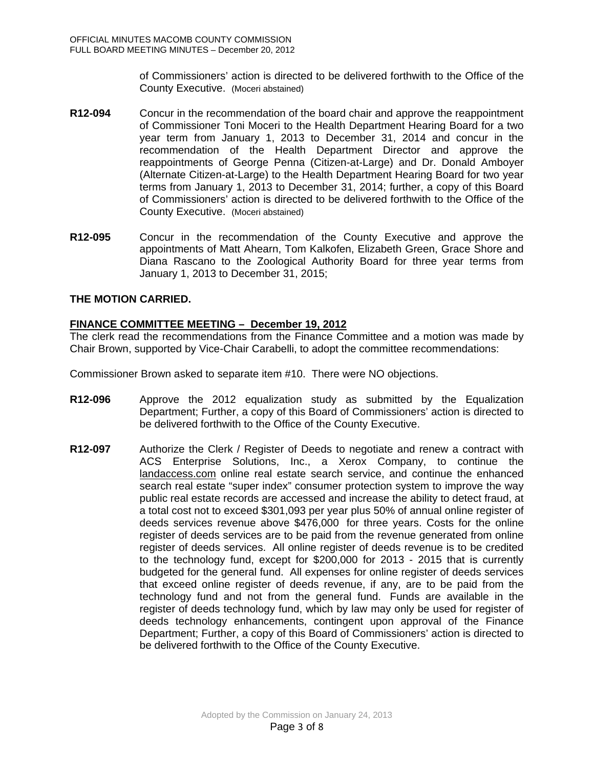of Commissioners' action is directed to be delivered forthwith to the Office of the County Executive. (Moceri abstained)

- **R12-094** Concur in the recommendation of the board chair and approve the reappointment of Commissioner Toni Moceri to the Health Department Hearing Board for a two year term from January 1, 2013 to December 31, 2014 and concur in the recommendation of the Health Department Director and approve the reappointments of George Penna (Citizen-at-Large) and Dr. Donald Amboyer (Alternate Citizen-at-Large) to the Health Department Hearing Board for two year terms from January 1, 2013 to December 31, 2014; further, a copy of this Board of Commissioners' action is directed to be delivered forthwith to the Office of the County Executive. (Moceri abstained)
- **R12-095** Concur in the recommendation of the County Executive and approve the appointments of Matt Ahearn, Tom Kalkofen, Elizabeth Green, Grace Shore and Diana Rascano to the Zoological Authority Board for three year terms from January 1, 2013 to December 31, 2015;

# **THE MOTION CARRIED.**

# **FINANCE COMMITTEE MEETING – December 19, 2012**

The clerk read the recommendations from the Finance Committee and a motion was made by Chair Brown, supported by Vice-Chair Carabelli, to adopt the committee recommendations:

Commissioner Brown asked to separate item #10. There were NO objections.

- **R12-096** Approve the 2012 equalization study as submitted by the Equalization Department; Further, a copy of this Board of Commissioners' action is directed to be delivered forthwith to the Office of the County Executive.
- **R12-097** Authorize the Clerk / Register of Deeds to negotiate and renew a contract with ACS Enterprise Solutions, Inc., a Xerox Company, to continue the [landaccess.com](http://landaccess.com/) online real estate search service, and continue the enhanced search real estate "super index" consumer protection system to improve the way public real estate records are accessed and increase the ability to detect fraud, at a total cost not to exceed \$301,093 per year plus 50% of annual online register of deeds services revenue above \$476,000 for three years. Costs for the online register of deeds services are to be paid from the revenue generated from online register of deeds services. All online register of deeds revenue is to be credited to the technology fund, except for \$200,000 for 2013 - 2015 that is currently budgeted for the general fund. All expenses for online register of deeds services that exceed online register of deeds revenue, if any, are to be paid from the technology fund and not from the general fund. Funds are available in the register of deeds technology fund, which by law may only be used for register of deeds technology enhancements, contingent upon approval of the Finance Department; Further, a copy of this Board of Commissioners' action is directed to be delivered forthwith to the Office of the County Executive.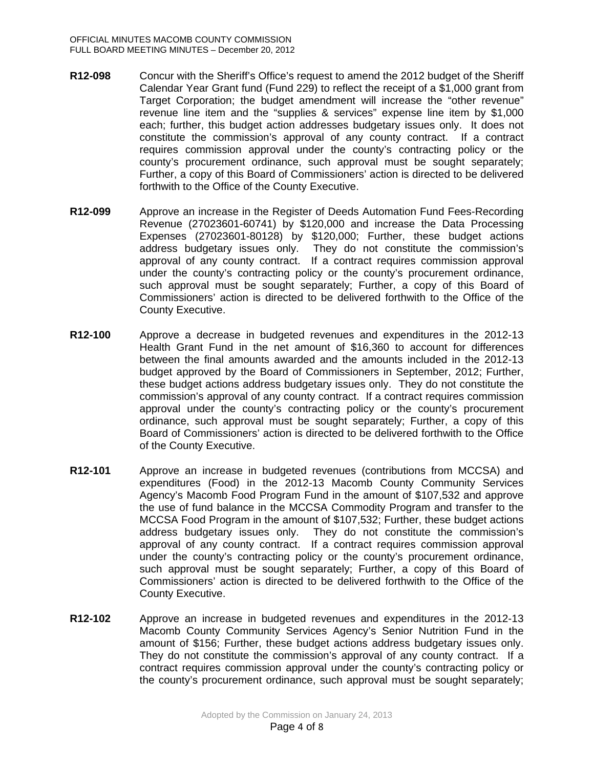- **R12-098** Concur with the Sheriff's Office's request to amend the 2012 budget of the Sheriff Calendar Year Grant fund (Fund 229) to reflect the receipt of a \$1,000 grant from Target Corporation; the budget amendment will increase the "other revenue" revenue line item and the "supplies & services" expense line item by \$1,000 each; further, this budget action addresses budgetary issues only. It does not constitute the commission's approval of any county contract. If a contract requires commission approval under the county's contracting policy or the county's procurement ordinance, such approval must be sought separately; Further, a copy of this Board of Commissioners' action is directed to be delivered forthwith to the Office of the County Executive.
- **R12-099** Approve an increase in the Register of Deeds Automation Fund Fees-Recording Revenue (27023601-60741) by \$120,000 and increase the Data Processing Expenses (27023601-80128) by \$120,000; Further, these budget actions address budgetary issues only. They do not constitute the commission's approval of any county contract. If a contract requires commission approval under the county's contracting policy or the county's procurement ordinance, such approval must be sought separately; Further, a copy of this Board of Commissioners' action is directed to be delivered forthwith to the Office of the County Executive.
- **R12-100** Approve a decrease in budgeted revenues and expenditures in the 2012-13 Health Grant Fund in the net amount of \$16,360 to account for differences between the final amounts awarded and the amounts included in the 2012-13 budget approved by the Board of Commissioners in September, 2012; Further, these budget actions address budgetary issues only. They do not constitute the commission's approval of any county contract. If a contract requires commission approval under the county's contracting policy or the county's procurement ordinance, such approval must be sought separately; Further, a copy of this Board of Commissioners' action is directed to be delivered forthwith to the Office of the County Executive.
- **R12-101** Approve an increase in budgeted revenues (contributions from MCCSA) and expenditures (Food) in the 2012-13 Macomb County Community Services Agency's Macomb Food Program Fund in the amount of \$107,532 and approve the use of fund balance in the MCCSA Commodity Program and transfer to the MCCSA Food Program in the amount of \$107,532; Further, these budget actions address budgetary issues only. They do not constitute the commission's approval of any county contract. If a contract requires commission approval under the county's contracting policy or the county's procurement ordinance, such approval must be sought separately; Further, a copy of this Board of Commissioners' action is directed to be delivered forthwith to the Office of the County Executive.
- **R12-102** Approve an increase in budgeted revenues and expenditures in the 2012-13 Macomb County Community Services Agency's Senior Nutrition Fund in the amount of \$156; Further, these budget actions address budgetary issues only. They do not constitute the commission's approval of any county contract. If a contract requires commission approval under the county's contracting policy or the county's procurement ordinance, such approval must be sought separately;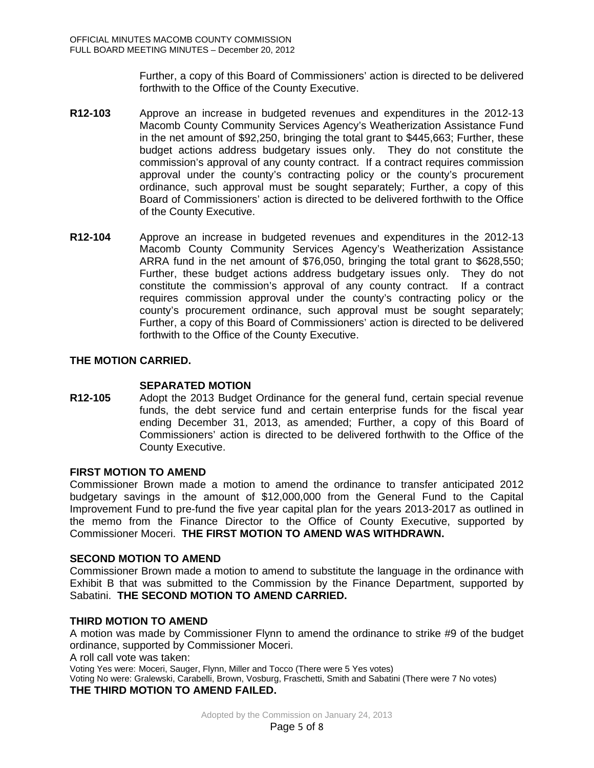Further, a copy of this Board of Commissioners' action is directed to be delivered forthwith to the Office of the County Executive.

- **R12-103** Approve an increase in budgeted revenues and expenditures in the 2012-13 Macomb County Community Services Agency's Weatherization Assistance Fund in the net amount of \$92,250, bringing the total grant to \$445,663; Further, these budget actions address budgetary issues only. They do not constitute the commission's approval of any county contract. If a contract requires commission approval under the county's contracting policy or the county's procurement ordinance, such approval must be sought separately; Further, a copy of this Board of Commissioners' action is directed to be delivered forthwith to the Office of the County Executive.
- **R12-104** Approve an increase in budgeted revenues and expenditures in the 2012-13 Macomb County Community Services Agency's Weatherization Assistance ARRA fund in the net amount of \$76,050, bringing the total grant to \$628,550; Further, these budget actions address budgetary issues only. They do not constitute the commission's approval of any county contract. If a contract requires commission approval under the county's contracting policy or the county's procurement ordinance, such approval must be sought separately; Further, a copy of this Board of Commissioners' action is directed to be delivered forthwith to the Office of the County Executive.

## **THE MOTION CARRIED.**

**SEPARATED MOTION**<br>**R12-105** Adopt the 2013 Budget **R12-105** Adopt the 2013 Budget Ordinance for the general fund, certain special revenue funds, the debt service fund and certain enterprise funds for the fiscal year ending December 31, 2013, as amended; Further, a copy of this Board of Commissioners' action is directed to be delivered forthwith to the Office of the County Executive.

#### **FIRST MOTION TO AMEND**

Commissioner Brown made a motion to amend the ordinance to transfer anticipated 2012 budgetary savings in the amount of \$12,000,000 from the General Fund to the Capital Improvement Fund to pre-fund the five year capital plan for the years 2013-2017 as outlined in the memo from the Finance Director to the Office of County Executive, supported by Commissioner Moceri. **THE FIRST MOTION TO AMEND WAS WITHDRAWN.**

#### **SECOND MOTION TO AMEND**

Commissioner Brown made a motion to amend to substitute the language in the ordinance with Exhibit B that was submitted to the Commission by the Finance Department, supported by Sabatini. **THE SECOND MOTION TO AMEND CARRIED.**

## **THIRD MOTION TO AMEND**

A motion was made by Commissioner Flynn to amend the ordinance to strike #9 of the budget ordinance, supported by Commissioner Moceri.

A roll call vote was taken:

Voting Yes were: Moceri, Sauger, Flynn, Miller and Tocco (There were 5 Yes votes) Voting No were: Gralewski, Carabelli, Brown, Vosburg, Fraschetti, Smith and Sabatini (There were 7 No votes) **THE THIRD MOTION TO AMEND FAILED.**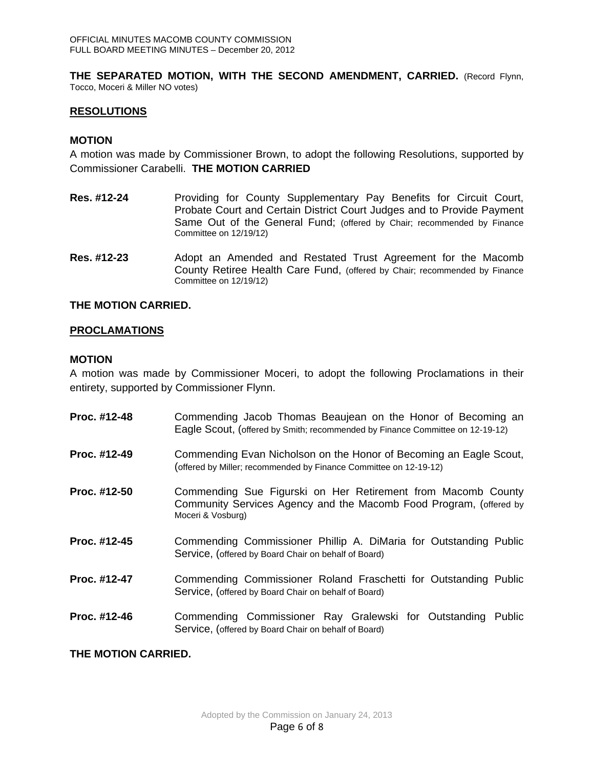**THE SEPARATED MOTION, WITH THE SECOND AMENDMENT, CARRIED.** (Record Flynn, Tocco, Moceri & Miller NO votes)

## **RESOLUTIONS**

## **MOTION**

A motion was made by Commissioner Brown, to adopt the following Resolutions, supported by Commissioner Carabelli. **THE MOTION CARRIED**

- **Res. #12-24** Providing for County Supplementary Pay Benefits for Circuit Court, Probate Court and Certain District Court Judges and to Provide Payment Same Out of the General Fund; (offered by Chair; recommended by Finance Committee on 12/19/12)
- **Res. #12-23** Adopt an Amended and Restated Trust Agreement for the Macomb County Retiree Health Care Fund, (offered by Chair; recommended by Finance Committee on 12/19/12)

#### **THE MOTION CARRIED.**

## **PROCLAMATIONS**

## **MOTION**

A motion was made by Commissioner Moceri, to adopt the following Proclamations in their entirety, supported by Commissioner Flynn.

| Proc. #12-48 | Commending Jacob Thomas Beaujean on the Honor of Becoming an<br>Eagle Scout, (offered by Smith; recommended by Finance Committee on 12-19-12)           |  |  |
|--------------|---------------------------------------------------------------------------------------------------------------------------------------------------------|--|--|
| Proc. #12-49 | Commending Evan Nicholson on the Honor of Becoming an Eagle Scout,<br>(offered by Miller; recommended by Finance Committee on 12-19-12)                 |  |  |
| Proc. #12-50 | Commending Sue Figurski on Her Retirement from Macomb County<br>Community Services Agency and the Macomb Food Program, (offered by<br>Moceri & Vosburg) |  |  |
| Proc. #12-45 | Commending Commissioner Phillip A. DiMaria for Outstanding Public<br>Service, (offered by Board Chair on behalf of Board)                               |  |  |
| Proc. #12-47 | Commending Commissioner Roland Fraschetti for Outstanding Public<br>Service, (offered by Board Chair on behalf of Board)                                |  |  |
| Proc. #12-46 | Commending Commissioner Ray Gralewski for Outstanding Public<br>Service, (offered by Board Chair on behalf of Board)                                    |  |  |

#### **THE MOTION CARRIED.**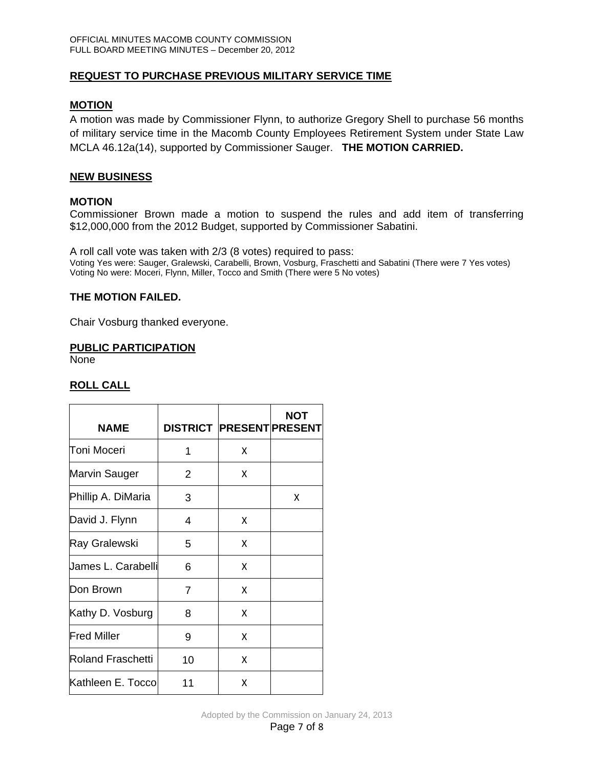# **REQUEST TO PURCHASE PREVIOUS MILITARY SERVICE TIME**

## **MOTION**

A motion was made by Commissioner Flynn, to authorize Gregory Shell to purchase 56 months of military service time in the Macomb County Employees Retirement System under State Law MCLA 46.12a(14), supported by Commissioner Sauger. **THE MOTION CARRIED.** 

## **NEW BUSINESS**

#### **MOTION**

Commissioner Brown made a motion to suspend the rules and add item of transferring \$12,000,000 from the 2012 Budget, supported by Commissioner Sabatini.

A roll call vote was taken with 2/3 (8 votes) required to pass: Voting Yes were: Sauger, Gralewski, Carabelli, Brown, Vosburg, Fraschetti and Sabatini (There were 7 Yes votes) Voting No were: Moceri, Flynn, Miller, Tocco and Smith (There were 5 No votes)

## **THE MOTION FAILED.**

Chair Vosburg thanked everyone.

#### **PUBLIC PARTICIPATION**

None

## **ROLL CALL**

| <b>NAME</b>              | <b>DISTRICT PRESENT PRESENT</b> |   | <b>NOT</b> |
|--------------------------|---------------------------------|---|------------|
| Toni Moceri              | 1                               | x |            |
| Marvin Sauger            | 2                               | x |            |
| Phillip A. DiMaria       | 3                               |   | x          |
| David J. Flynn           | 4                               | x |            |
| Ray Gralewski            | 5                               | x |            |
| James L. Carabelli       | 6                               | x |            |
| Don Brown                | 7                               | x |            |
| Kathy D. Vosburg         | 8                               | X |            |
| <b>Fred Miller</b>       | 9                               | x |            |
| <b>Roland Fraschetti</b> | 10                              | x |            |
| Kathleen E. Tocco        | 11                              | x |            |